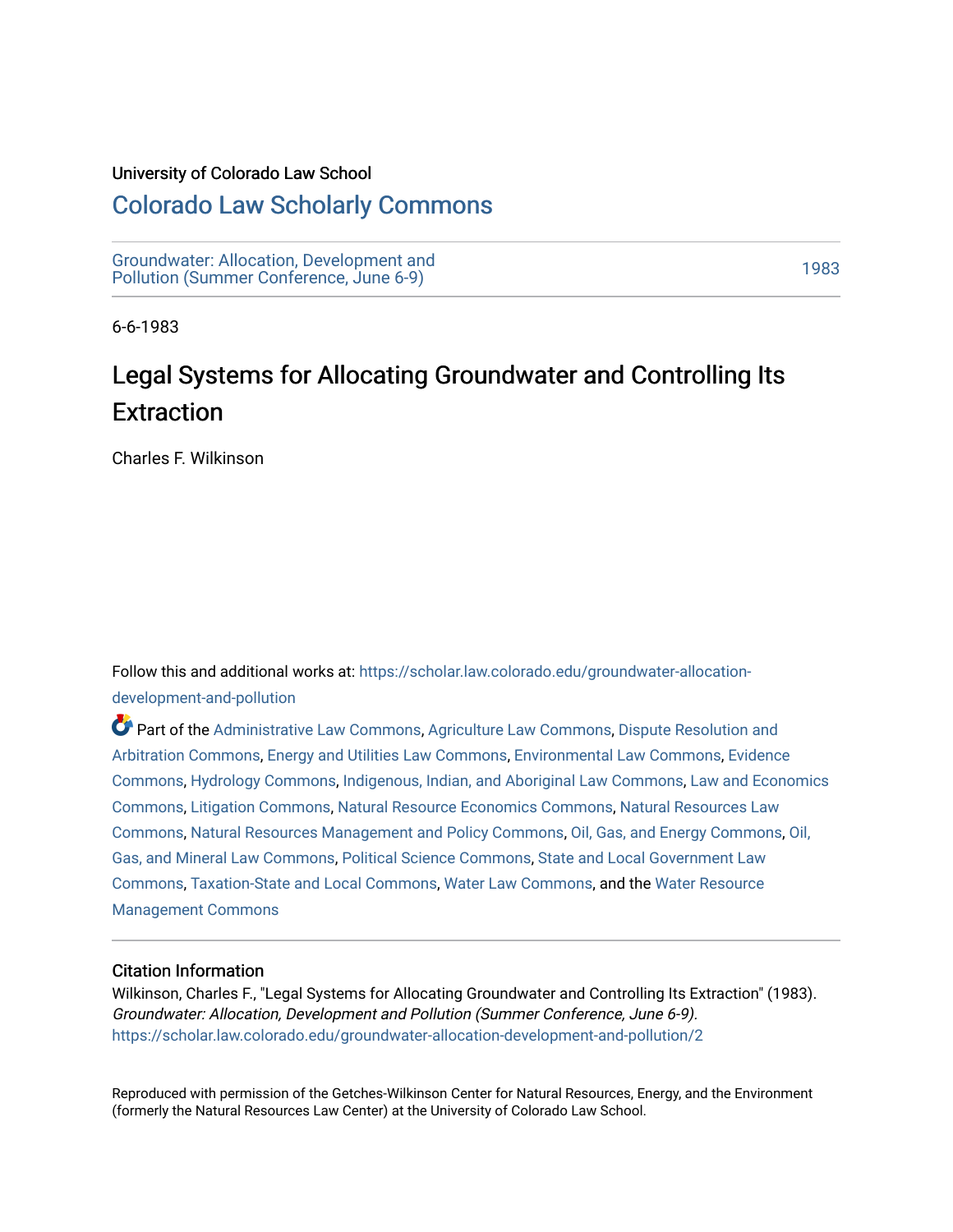#### University of Colorado Law School

## [Colorado Law Scholarly Commons](https://scholar.law.colorado.edu/)

[Groundwater: Allocation, Development and](https://scholar.law.colorado.edu/groundwater-allocation-development-and-pollution)  Giodinavater. Allocation, Development and<br>Pollution (Summer Conference, June 6-9)

6-6-1983

# Legal Systems for Allocating Groundwater and Controlling Its **Extraction**

Charles F. Wilkinson

Follow this and additional works at: [https://scholar.law.colorado.edu/groundwater-allocation](https://scholar.law.colorado.edu/groundwater-allocation-development-and-pollution?utm_source=scholar.law.colorado.edu%2Fgroundwater-allocation-development-and-pollution%2F2&utm_medium=PDF&utm_campaign=PDFCoverPages)[development-and-pollution](https://scholar.law.colorado.edu/groundwater-allocation-development-and-pollution?utm_source=scholar.law.colorado.edu%2Fgroundwater-allocation-development-and-pollution%2F2&utm_medium=PDF&utm_campaign=PDFCoverPages)

Part of the [Administrative Law Commons,](http://network.bepress.com/hgg/discipline/579?utm_source=scholar.law.colorado.edu%2Fgroundwater-allocation-development-and-pollution%2F2&utm_medium=PDF&utm_campaign=PDFCoverPages) [Agriculture Law Commons](http://network.bepress.com/hgg/discipline/581?utm_source=scholar.law.colorado.edu%2Fgroundwater-allocation-development-and-pollution%2F2&utm_medium=PDF&utm_campaign=PDFCoverPages), [Dispute Resolution and](http://network.bepress.com/hgg/discipline/890?utm_source=scholar.law.colorado.edu%2Fgroundwater-allocation-development-and-pollution%2F2&utm_medium=PDF&utm_campaign=PDFCoverPages) [Arbitration Commons](http://network.bepress.com/hgg/discipline/890?utm_source=scholar.law.colorado.edu%2Fgroundwater-allocation-development-and-pollution%2F2&utm_medium=PDF&utm_campaign=PDFCoverPages), [Energy and Utilities Law Commons](http://network.bepress.com/hgg/discipline/891?utm_source=scholar.law.colorado.edu%2Fgroundwater-allocation-development-and-pollution%2F2&utm_medium=PDF&utm_campaign=PDFCoverPages), [Environmental Law Commons,](http://network.bepress.com/hgg/discipline/599?utm_source=scholar.law.colorado.edu%2Fgroundwater-allocation-development-and-pollution%2F2&utm_medium=PDF&utm_campaign=PDFCoverPages) [Evidence](http://network.bepress.com/hgg/discipline/601?utm_source=scholar.law.colorado.edu%2Fgroundwater-allocation-development-and-pollution%2F2&utm_medium=PDF&utm_campaign=PDFCoverPages)  [Commons](http://network.bepress.com/hgg/discipline/601?utm_source=scholar.law.colorado.edu%2Fgroundwater-allocation-development-and-pollution%2F2&utm_medium=PDF&utm_campaign=PDFCoverPages), [Hydrology Commons](http://network.bepress.com/hgg/discipline/1054?utm_source=scholar.law.colorado.edu%2Fgroundwater-allocation-development-and-pollution%2F2&utm_medium=PDF&utm_campaign=PDFCoverPages), [Indigenous, Indian, and Aboriginal Law Commons](http://network.bepress.com/hgg/discipline/894?utm_source=scholar.law.colorado.edu%2Fgroundwater-allocation-development-and-pollution%2F2&utm_medium=PDF&utm_campaign=PDFCoverPages), [Law and Economics](http://network.bepress.com/hgg/discipline/612?utm_source=scholar.law.colorado.edu%2Fgroundwater-allocation-development-and-pollution%2F2&utm_medium=PDF&utm_campaign=PDFCoverPages)  [Commons](http://network.bepress.com/hgg/discipline/612?utm_source=scholar.law.colorado.edu%2Fgroundwater-allocation-development-and-pollution%2F2&utm_medium=PDF&utm_campaign=PDFCoverPages), [Litigation Commons,](http://network.bepress.com/hgg/discipline/910?utm_source=scholar.law.colorado.edu%2Fgroundwater-allocation-development-and-pollution%2F2&utm_medium=PDF&utm_campaign=PDFCoverPages) [Natural Resource Economics Commons,](http://network.bepress.com/hgg/discipline/169?utm_source=scholar.law.colorado.edu%2Fgroundwater-allocation-development-and-pollution%2F2&utm_medium=PDF&utm_campaign=PDFCoverPages) [Natural Resources Law](http://network.bepress.com/hgg/discipline/863?utm_source=scholar.law.colorado.edu%2Fgroundwater-allocation-development-and-pollution%2F2&utm_medium=PDF&utm_campaign=PDFCoverPages)  [Commons](http://network.bepress.com/hgg/discipline/863?utm_source=scholar.law.colorado.edu%2Fgroundwater-allocation-development-and-pollution%2F2&utm_medium=PDF&utm_campaign=PDFCoverPages), [Natural Resources Management and Policy Commons,](http://network.bepress.com/hgg/discipline/170?utm_source=scholar.law.colorado.edu%2Fgroundwater-allocation-development-and-pollution%2F2&utm_medium=PDF&utm_campaign=PDFCoverPages) [Oil, Gas, and Energy Commons,](http://network.bepress.com/hgg/discipline/171?utm_source=scholar.law.colorado.edu%2Fgroundwater-allocation-development-and-pollution%2F2&utm_medium=PDF&utm_campaign=PDFCoverPages) [Oil,](http://network.bepress.com/hgg/discipline/864?utm_source=scholar.law.colorado.edu%2Fgroundwater-allocation-development-and-pollution%2F2&utm_medium=PDF&utm_campaign=PDFCoverPages)  [Gas, and Mineral Law Commons](http://network.bepress.com/hgg/discipline/864?utm_source=scholar.law.colorado.edu%2Fgroundwater-allocation-development-and-pollution%2F2&utm_medium=PDF&utm_campaign=PDFCoverPages), [Political Science Commons](http://network.bepress.com/hgg/discipline/386?utm_source=scholar.law.colorado.edu%2Fgroundwater-allocation-development-and-pollution%2F2&utm_medium=PDF&utm_campaign=PDFCoverPages), [State and Local Government Law](http://network.bepress.com/hgg/discipline/879?utm_source=scholar.law.colorado.edu%2Fgroundwater-allocation-development-and-pollution%2F2&utm_medium=PDF&utm_campaign=PDFCoverPages) [Commons](http://network.bepress.com/hgg/discipline/879?utm_source=scholar.law.colorado.edu%2Fgroundwater-allocation-development-and-pollution%2F2&utm_medium=PDF&utm_campaign=PDFCoverPages), [Taxation-State and Local Commons](http://network.bepress.com/hgg/discipline/882?utm_source=scholar.law.colorado.edu%2Fgroundwater-allocation-development-and-pollution%2F2&utm_medium=PDF&utm_campaign=PDFCoverPages), [Water Law Commons,](http://network.bepress.com/hgg/discipline/887?utm_source=scholar.law.colorado.edu%2Fgroundwater-allocation-development-and-pollution%2F2&utm_medium=PDF&utm_campaign=PDFCoverPages) and the [Water Resource](http://network.bepress.com/hgg/discipline/1057?utm_source=scholar.law.colorado.edu%2Fgroundwater-allocation-development-and-pollution%2F2&utm_medium=PDF&utm_campaign=PDFCoverPages) [Management Commons](http://network.bepress.com/hgg/discipline/1057?utm_source=scholar.law.colorado.edu%2Fgroundwater-allocation-development-and-pollution%2F2&utm_medium=PDF&utm_campaign=PDFCoverPages)

#### Citation Information

Wilkinson, Charles F., "Legal Systems for Allocating Groundwater and Controlling Its Extraction" (1983). Groundwater: Allocation, Development and Pollution (Summer Conference, June 6-9). [https://scholar.law.colorado.edu/groundwater-allocation-development-and-pollution/2](https://scholar.law.colorado.edu/groundwater-allocation-development-and-pollution/2?utm_source=scholar.law.colorado.edu%2Fgroundwater-allocation-development-and-pollution%2F2&utm_medium=PDF&utm_campaign=PDFCoverPages)

Reproduced with permission of the Getches-Wilkinson Center for Natural Resources, Energy, and the Environment (formerly the Natural Resources Law Center) at the University of Colorado Law School.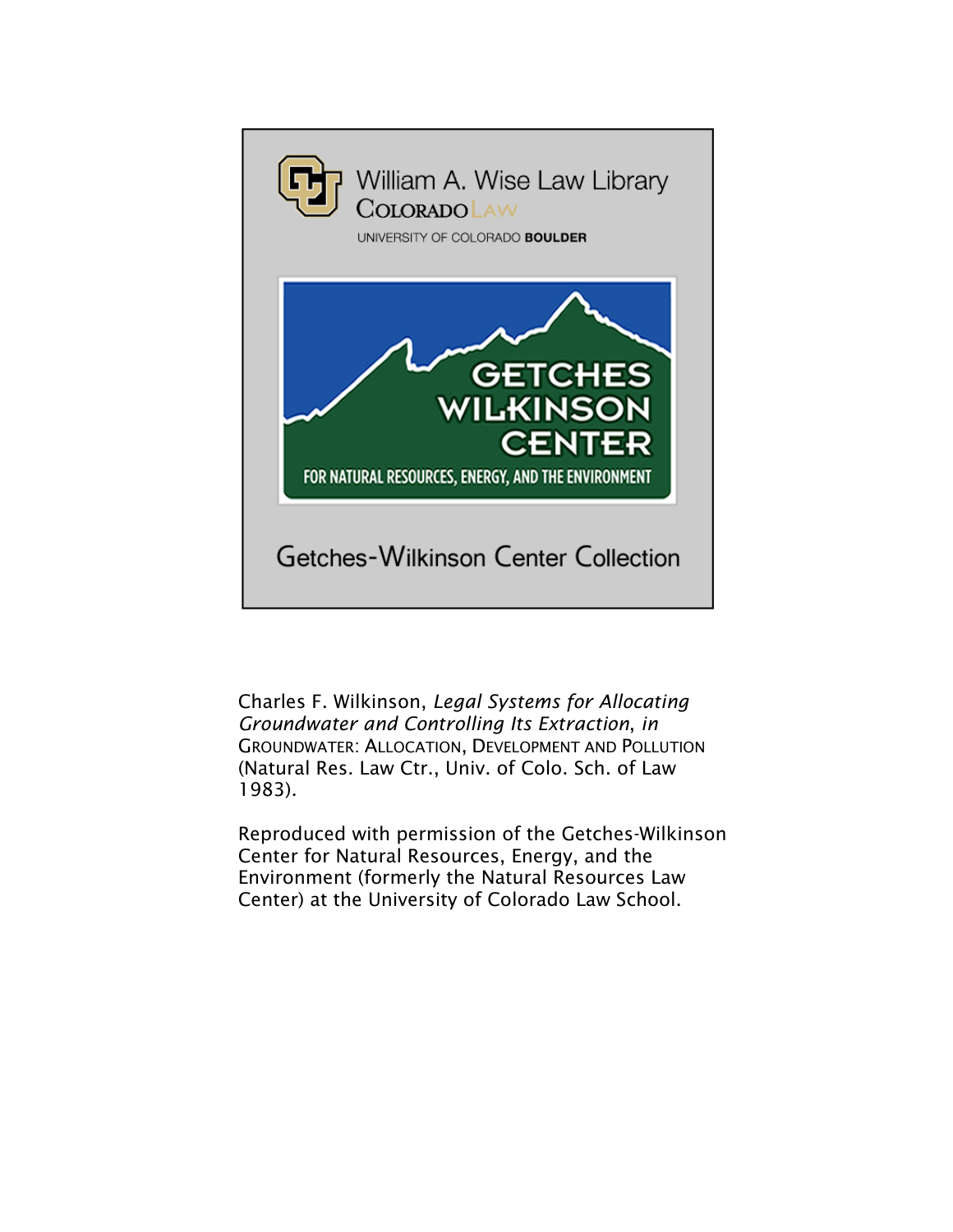

Charles F. Wilkinson, *Legal Systems for Allocating Groundwater and Controlling Its Extraction*, *in* GROUNDWATER: ALLOCATION, DEVELOPMENT AND POLLUTION (Natural Res. Law Ctr., Univ. of Colo. Sch. of Law 1983).

Reproduced with permission of the Getches-Wilkinson Center for Natural Resources, Energy, and the Environment (formerly the Natural Resources Law Center) at the University of Colorado Law School.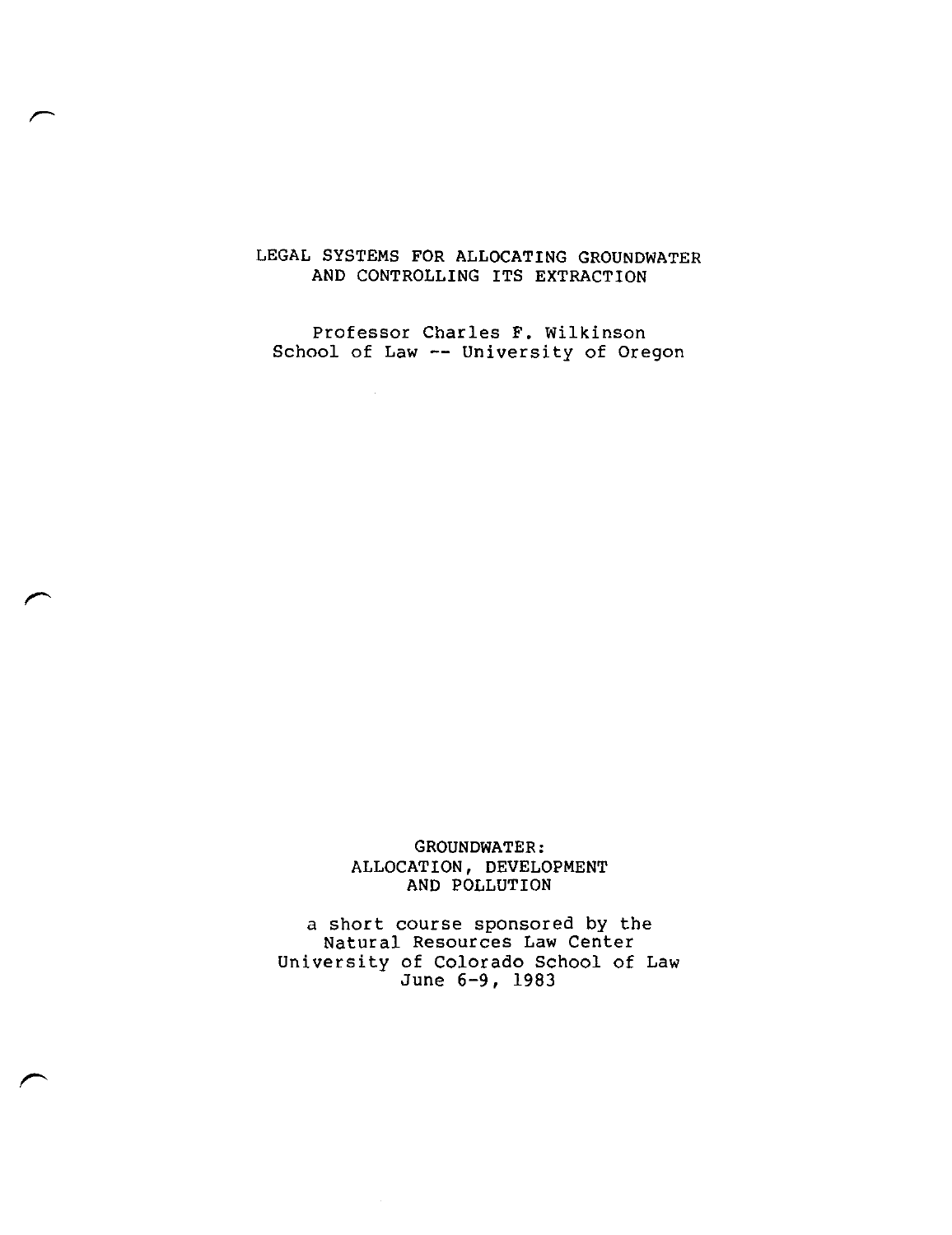#### LEGAL SYSTEMS FOR ALLOCATING GROUNDWATER AND CONTROLLING ITS EXTRACTION

Professor Charles F. Wilkinson School of Law -- University of Oregon

 $\sim$ 

e"

 $\overline{\phantom{a}}$ 

GROUNDWATER: ALLOCATION, DEVELOPMENT AND POLLUTION

a short course sponsored by the Natural Resources Law Center University of Colorado School of Law June 6-9, 1983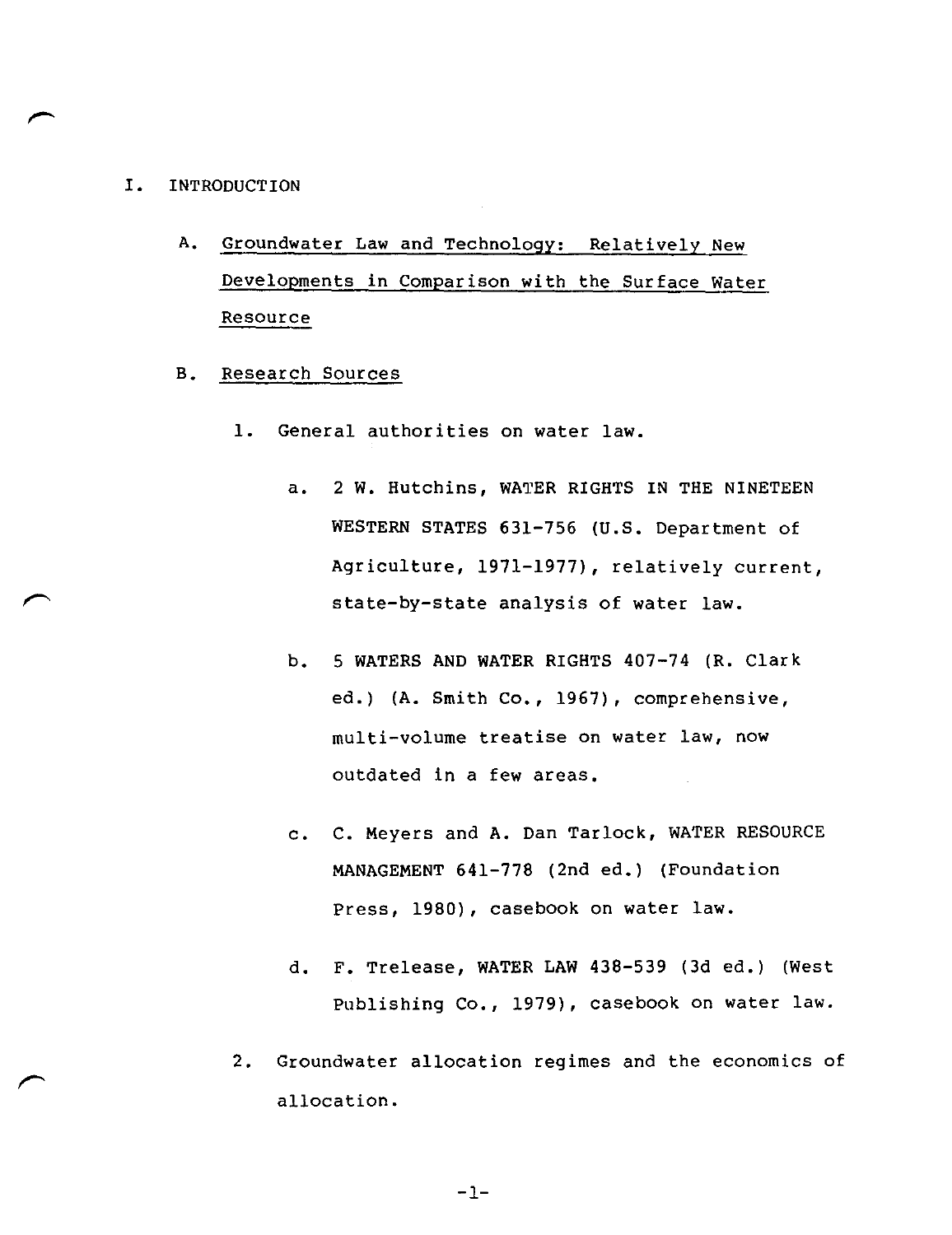#### I. INTRODUCTION

- A. Groundwater Law and Technology: Relatively New Developments in Comparison with the Surface Water Resource
- B. Research Sources
	- 1. General authorities on water law.
		- a. 2 W. Hutchins, WATER RIGHTS IN THE NINETEEN WESTERN STATES 631-756 (U.S. Department of Agriculture, 1971-1977), relatively current, state-by-state analysis of water law.
		- b. 5 WATERS AND WATER RIGHTS 407-74 (R. Clark ed.) (A. Smith Co., 1967), comprehensive, multi-volume treatise on water law, now outdated in a few areas.
		- c. C. Meyers and A. Dan Tarlock, WATER RESOURCE MANAGEMENT 641-778 (2nd ed.) (Foundation Press, 1980), casebook on water law.
		- d. F. Trelease, WATER LAW 438-539 (3d ed.) (West Publishing Co., 1979), casebook on water law.
	- 2. Groundwater allocation regimes and the economics of allocation.

-1-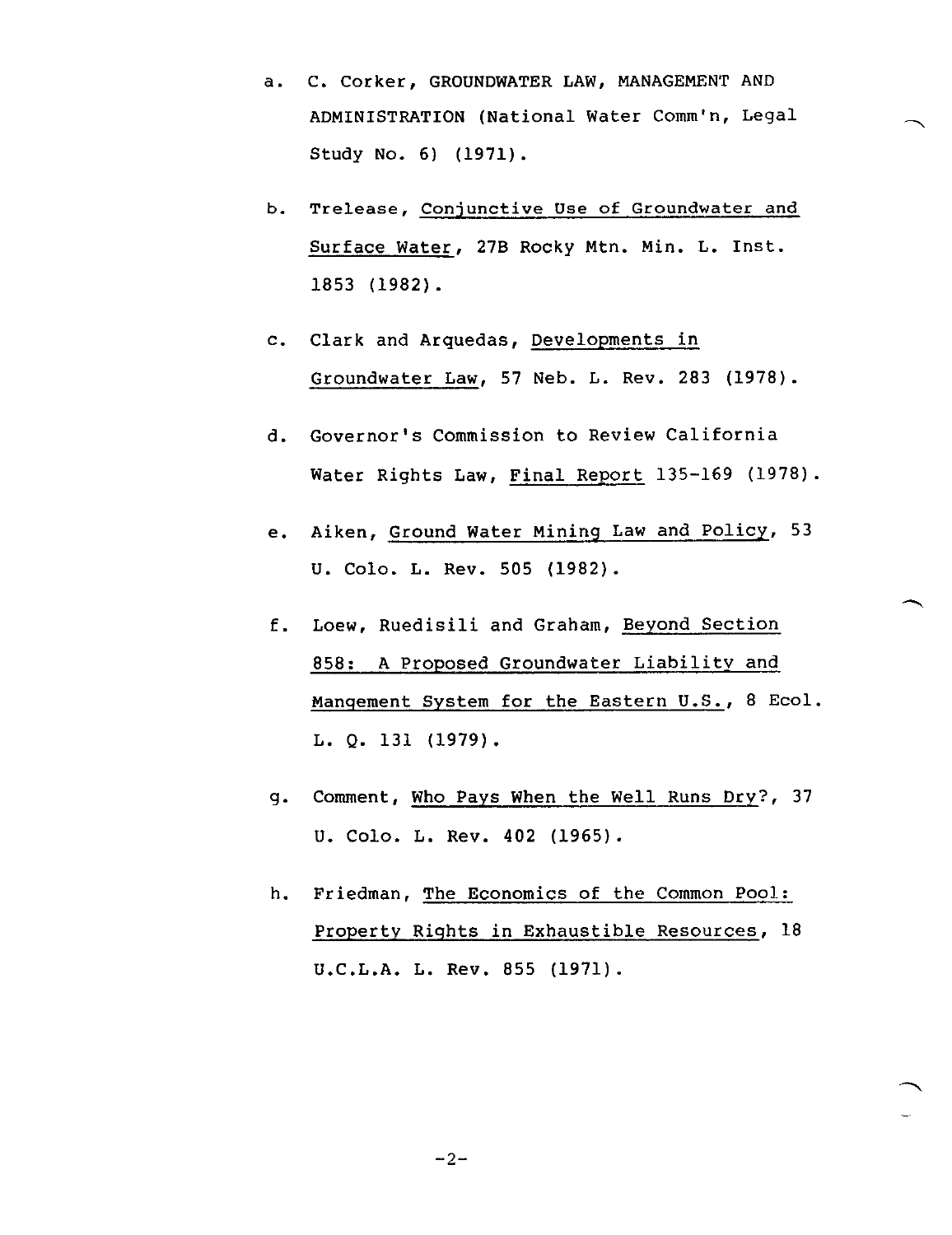- a. C. Corker, GROUNDWATER LAW, MANAGEMENT AND ADMINISTRATION (National Water Comm'n, Legal Study No. 6) (1971).
- b. Trelease, Conjunctive Use of Groundwater and Surface Water, 273 Rocky Mtn. Min. L. Inst. 1853 (1982).
- C. Clark and Arquedas, Developments in Groundwater Law, 57 Neb. L. Rev. 283 (1978).
- d. Governor's Commission to Review California Water Rights Law, Final Report 135-169 (1978).
- e. Aiken, Ground Water Mining Law and Policy, 53 U. Colo. L. Rev. 505 (1982).
- f. Loew, Ruedisili and Graham, Beyond Section 858: A Proposed Groundwater Liability and Mangement System for the Eastern U.S., 8 Ecol. L. Q. 131 (1979).
- g. Comment, Who Pays When the Well Runs Dry?, 37 U. Colo. L. Rev. 402 (1965).
- h. Friedman, The Economics of the Common Pool: Property Rights in Exhaustible Resources, 18 U.C.L.A. L. Rev. 855 (1971).

 $-2-$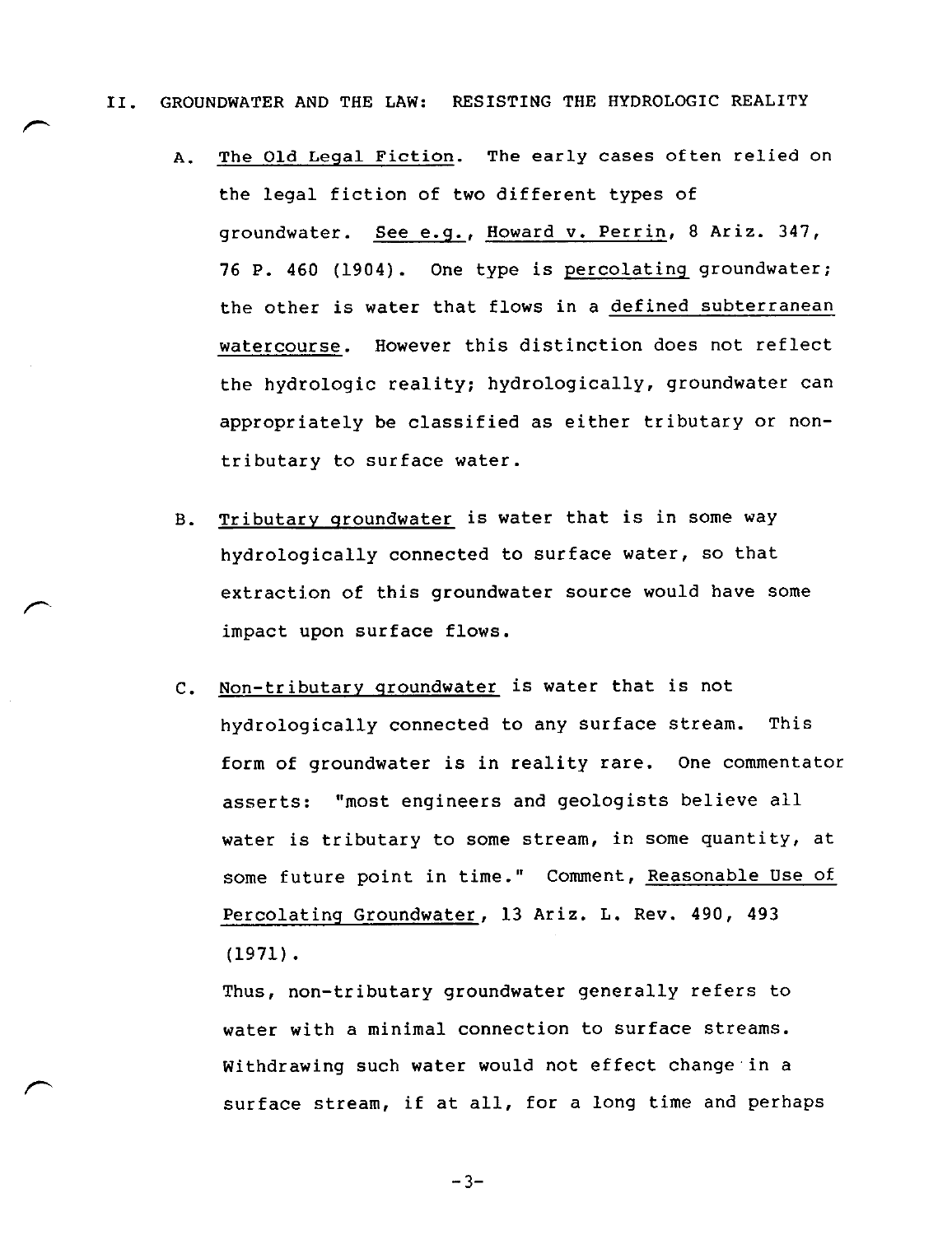- II. GROUNDWATER AND THE LAW: RESISTING THE HYDROLOGIC REALITY
	- A. The Old Legal Fiction. The early cases often relied on the legal fiction of two different types of groundwater. See e.g., Howard v. Perrin, 8 Ariz. 347, 76 P. 460 (1904). One type is percolating groundwater; the other is water that flows in a defined subterranean watercourse. However this distinction does not reflect the hydrologic reality; hydrologically, groundwater can appropriately be classified as either tributary or nontributary to surface water.
	- B. Tributary groundwater is water that is in some way hydrologically connected to surface water, so that extraction of this groundwater source would have some impact upon surface flows.
	- C. Non-tributary groundwater is water that is not hydrologically connected to any surface stream. This form of groundwater is in reality rare. One commentator asserts: "most engineers and geologists believe all water is tributary to some stream, in some quantity, at some future point in time." Comment, Reasonable Use of Percolating Groundwater, 13 Ariz. L. Rev. 490, 493 (1971).

Thus, non-tributary groundwater generally refers to water with a minimal connection to surface streams. Withdrawing such water would not effect change in a surface stream, if at all, for a long time and perhaps

 $-3-$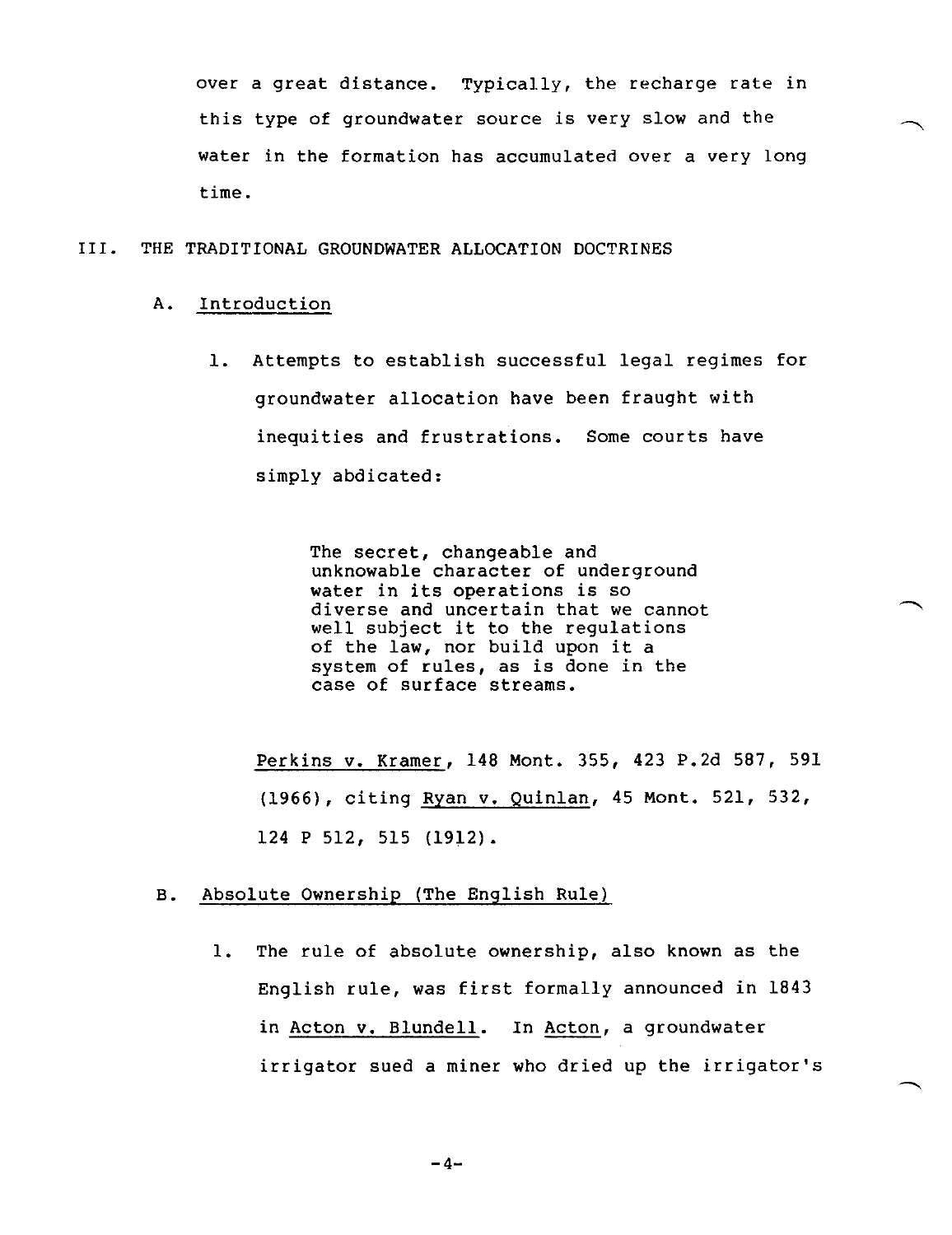over a great distance. Typically, the recharge rate in this type of groundwater source is very slow and the water in the formation has accumulated over a very long time.

#### III. THE TRADITIONAL GROUNDWATER ALLOCATION DOCTRINES

#### A. Introduction

1. Attempts to establish successful legal regimes for groundwater allocation have been fraught with inequities and frustrations. Some courts have simply abdicated:

> The secret, changeable and unknowable character of underground water in its operations is so diverse and uncertain that we cannot well subject it to the regulations of the law, nor build upon it a system of rules, as is done in the case of surface streams.

Perkins v. Kramer, 148 Mont. 355, 423 P.2d 587, 591 (1966), citing Ryan v. Quinlan, 45 Mont. 521, 532, 124 P 512, 515 (1912).

#### B. Absolute Ownership (The English Rule)

1. The rule of absolute ownership, also known as the English rule, was first formally announced in 1843 in Acton v. Blundell. In Acton, a groundwater irrigator sued a miner who dried up the irrigator's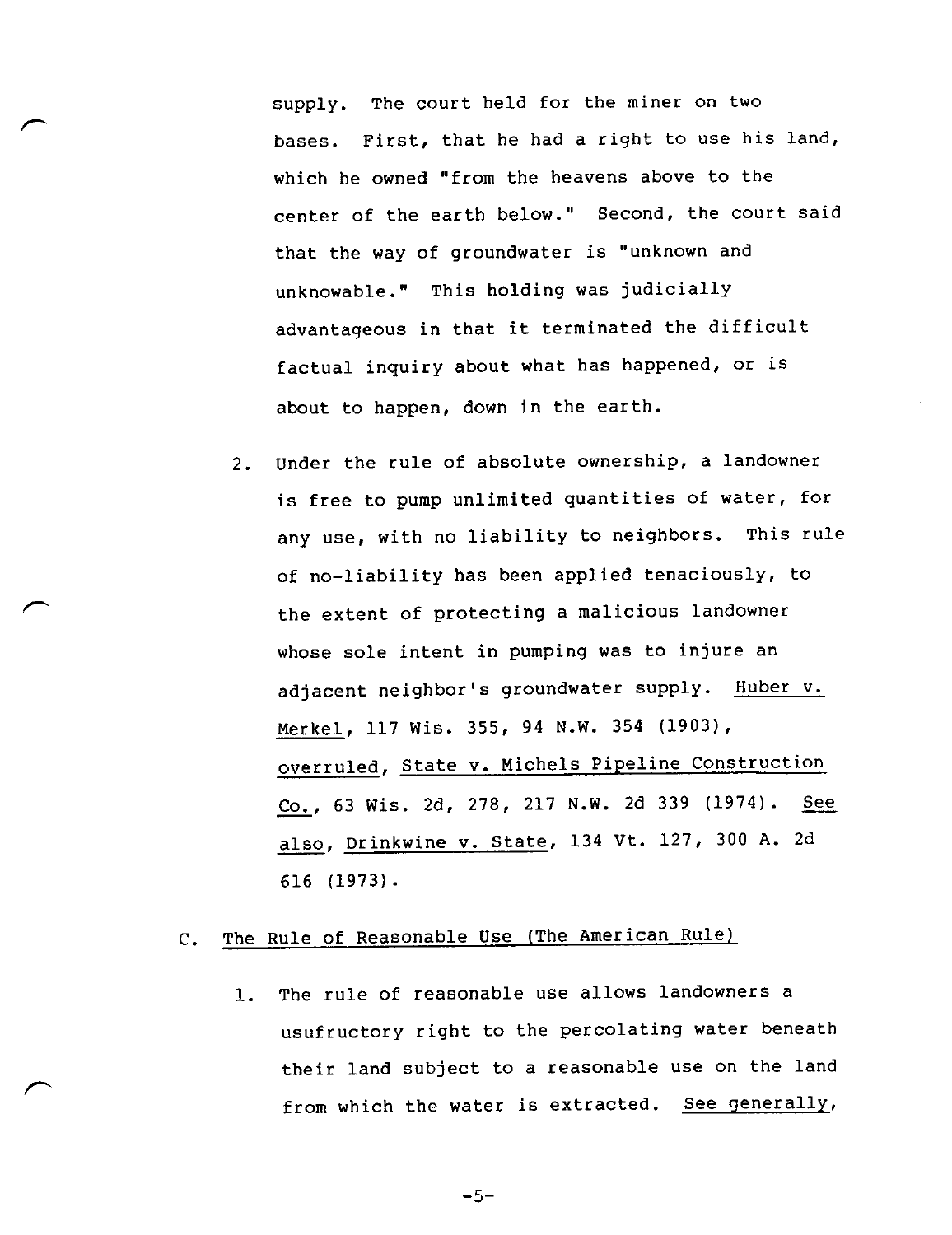supply. The court held for the miner on two bases. First, that he had a right to use his land, which he owned "from the heavens above to the center of the earth below." Second, the court said that the way of groundwater is "unknown and unknowable." This holding was judicially advantageous in that it terminated the difficult factual inquiry about what has happened, or is about to happen, down in the earth.

2. Under the rule of absolute ownership, a landowner is free to pump unlimited quantities of water, for any use, with no liability to neighbors. This rule of no-liability has been applied tenaciously, to the extent of protecting a malicious landowner whose sole intent in pumping was to injure an adjacent neighbor's groundwater supply. Huber v. Merkel, 117 Wis. 355, 94 N.W. 354 (1903), overruled, State v. Michels Pipeline Construction Co., 63 Wis. 2d, 278, 217 N.W. 2d 339 (1974). See also, Drinkwine v. State, 134 Vt. 127, 300 A. 2d 616 (1973).

### C. The Rule of Reasonable Use (The American Rule)

1. The rule of reasonable use allows landowners a usufructory right to the percolating water beneath their land subject to a reasonable use on the land from which the water is extracted. See generally,

 $-5-$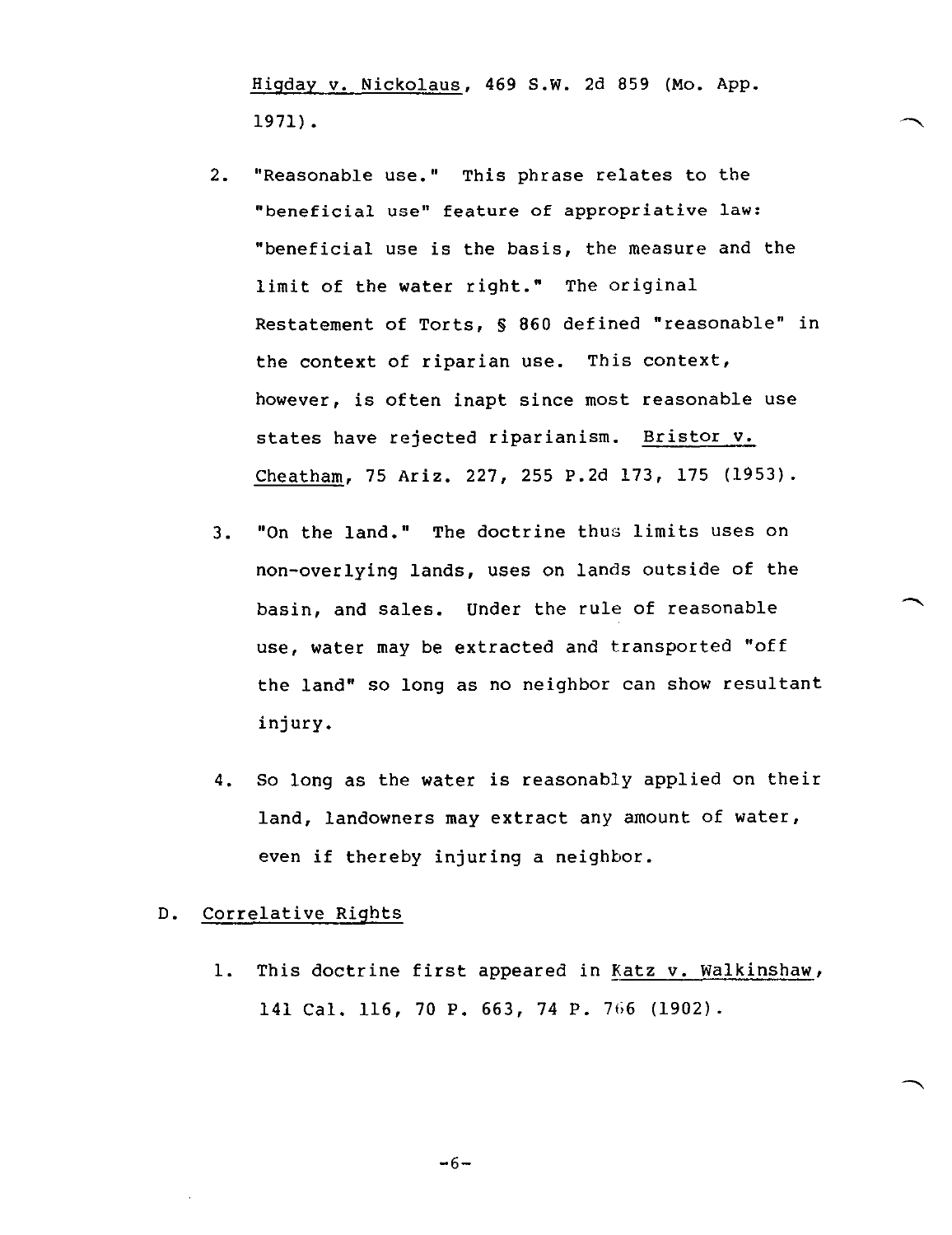Higday v. Nickolaus, 469 S.W. 2d 859 (Mo. APP. 1971).

- 2. "Reasonable use." This phrase relates to the "beneficial use" feature of appropriative law: "beneficial use is the basis, the measure and the limit of the water right." The original Restatement of Torts, S 860 defined "reasonable" in the context of riparian use. This context, however, is often inapt since most reasonable use states have rejected riparianism. Bristor v. Cheatham, 75 Ariz. 227, 255 P.2d 173, 175 (1953).
- 3. "On the land." The doctrine thus limits uses on non-overlying lands, uses on lands outside of the basin, and sales. Under the rule of reasonable use, water may be extracted and transported "off the land" so long as no neighbor can show resultant injury.
- 4. So long as the water is reasonably applied on their land, landowners may extract any amount of water, even if thereby injuring a neighbor.

#### D. Correlative Rights

1. This doctrine first appeared in Katz v. Walkinshaw, 141 Cal. 116, 70 P. 663, 74 P. 766 (1902).

$$
-6-
$$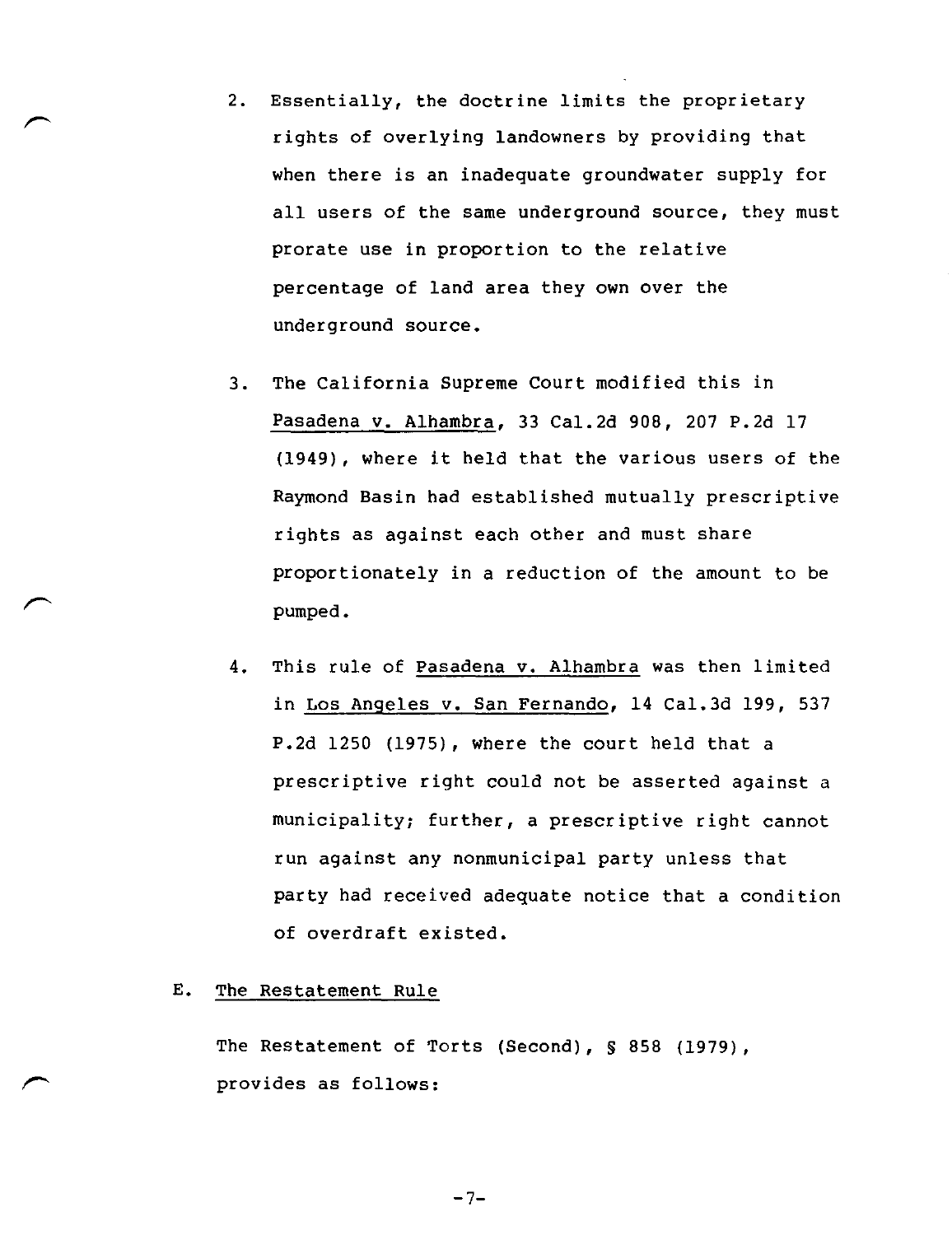- 2. Essentially, the doctrine limits the proprietary rights of overlying landowners by providing that when there is an inadequate groundwater supply for all users of the same underground source, they must prorate use in proportion to the relative percentage of land area they own over the underground source.
- 3. The California Supreme Court modified this in Pasadena v. Alhambra, 33 Ca1.2d 908, 207 P.2d 17 (1949), where it held that the various users of the Raymond Basin had established mutually prescriptive rights as against each other and must share proportionately in a reduction of the amount to be pumped.
- 4. This rule of Pasadena v. Alhambra was then limited in Los Angeles v. San Fernando, 14 Ca1.3d 199, 537 P.2d 1250 (1975), where the court held that a prescriptive right could not be asserted against a municipality; further, a prescriptive right cannot run against any nonmunicipal party unless that party had received adequate notice that a condition of overdraft existed.

#### E. The Restatement Rule

The Restatement of Torts (Second), § 858 (1979), provides as follows:

 $-7-$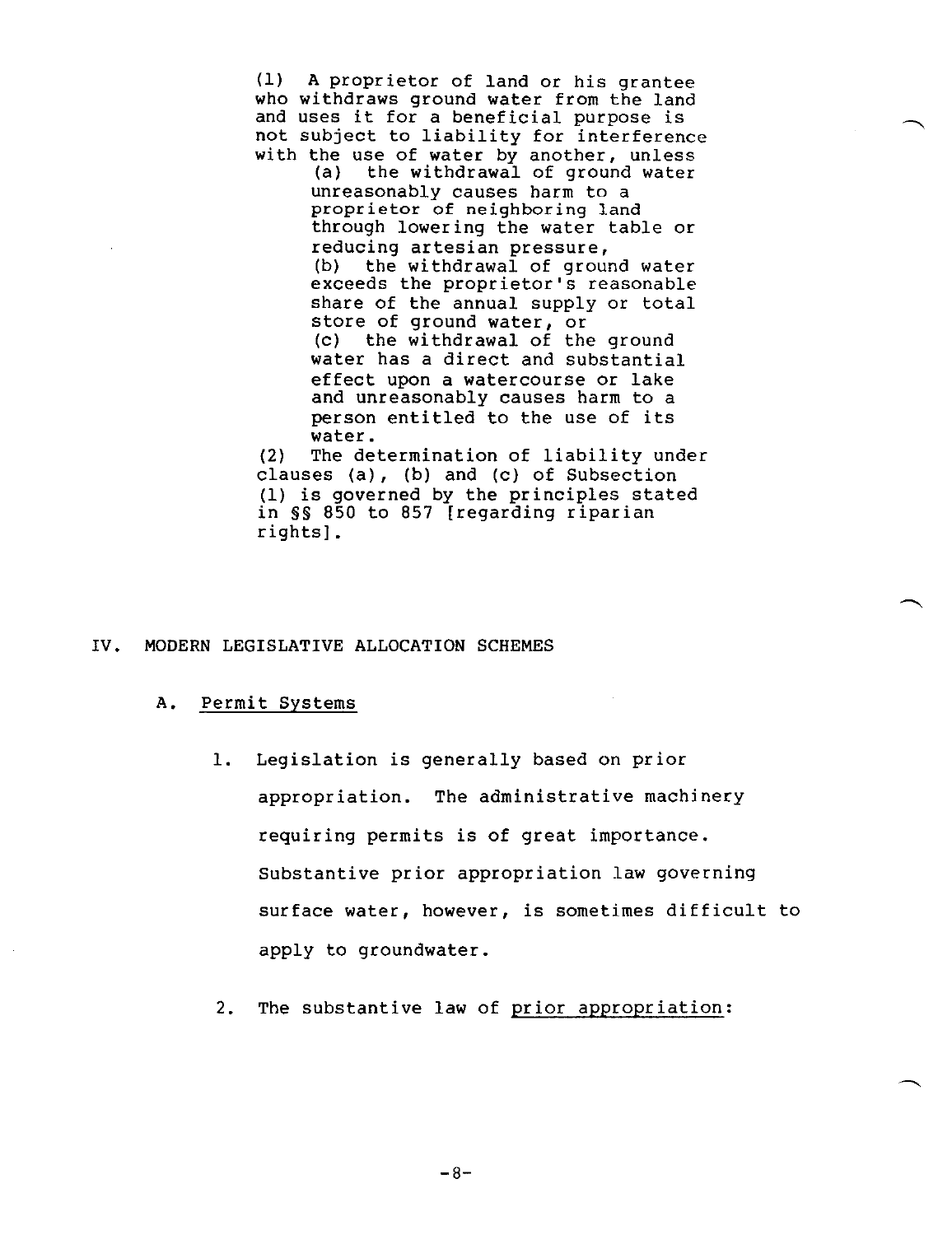(1) A proprietor of land or his grantee who withdraws ground water from the land and uses it for a beneficial purpose is not subject to liability for interference with the use of water by another, unless

(a) the withdrawal of ground water unreasonably causes harm to a proprietor of neighboring land through lowering the water table or reducing artesian pressure,<br>(b) the withdrawal of grour the withdrawal of ground water exceeds the proprietor's reasonable share of the annual supply or total store of ground water, or (c) the withdrawal of the ground water has a direct and substantial effect upon a watercourse or lake and unreasonably causes harm to a person entitled to the use of its water.

(2) The determination of liability under clauses (a), (b) and (c) of Subsection (1) is governed by the principles stated in §S 850 to 857 [regarding riparian rights].

#### IV. MODERN LEGISLATIVE ALLOCATION SCHEMES

#### A. Permit Systems

- 1. Legislation is generally based on prior appropriation. The administrative machinery requiring permits is of great importance. Substantive prior appropriation law governing surface water, however, is sometimes difficult to apply to groundwater.
- 2. The substantive law of prior appropriation: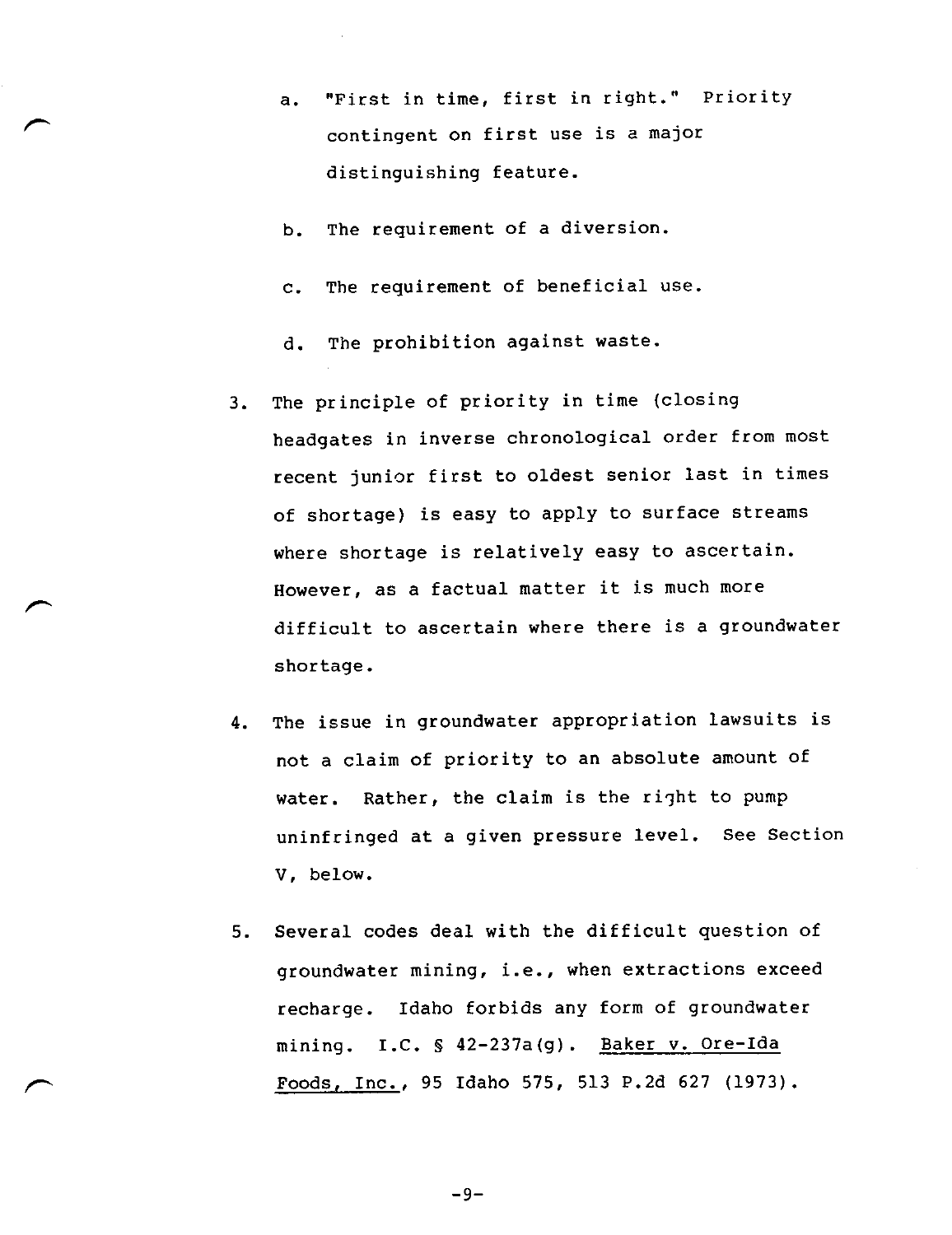- a. "First in time, first in right." Priority contingent on first use is a major distinguishing feature.
- b. The requirement of a diversion.
- c. The requirement of beneficial use.
- d. The prohibition against waste.
- 3. The principle of priority in time (closing headgates in inverse chronological order from most recent junior first to oldest senior last in times of shortage) is easy to apply to surface streams where shortage is relatively easy to ascertain. However, as a factual matter it is much more difficult to ascertain where there is a groundwater shortage.
- 4. The issue in groundwater appropriation lawsuits is not a claim of priority to an absolute amount of water. Rather, the claim is the right to pump uninfringed at a given pressure level. See Section V, below.
- 5. Several codes deal with the difficult question of groundwater mining, i.e., when extractions exceed recharge. Idaho forbids any form of groundwater mining. I.C. § 42-237a(g). Baker v. Ore-Ida Foods, Inc., 95 Idaho 575, 513 P.2d 627 (1973).

-9-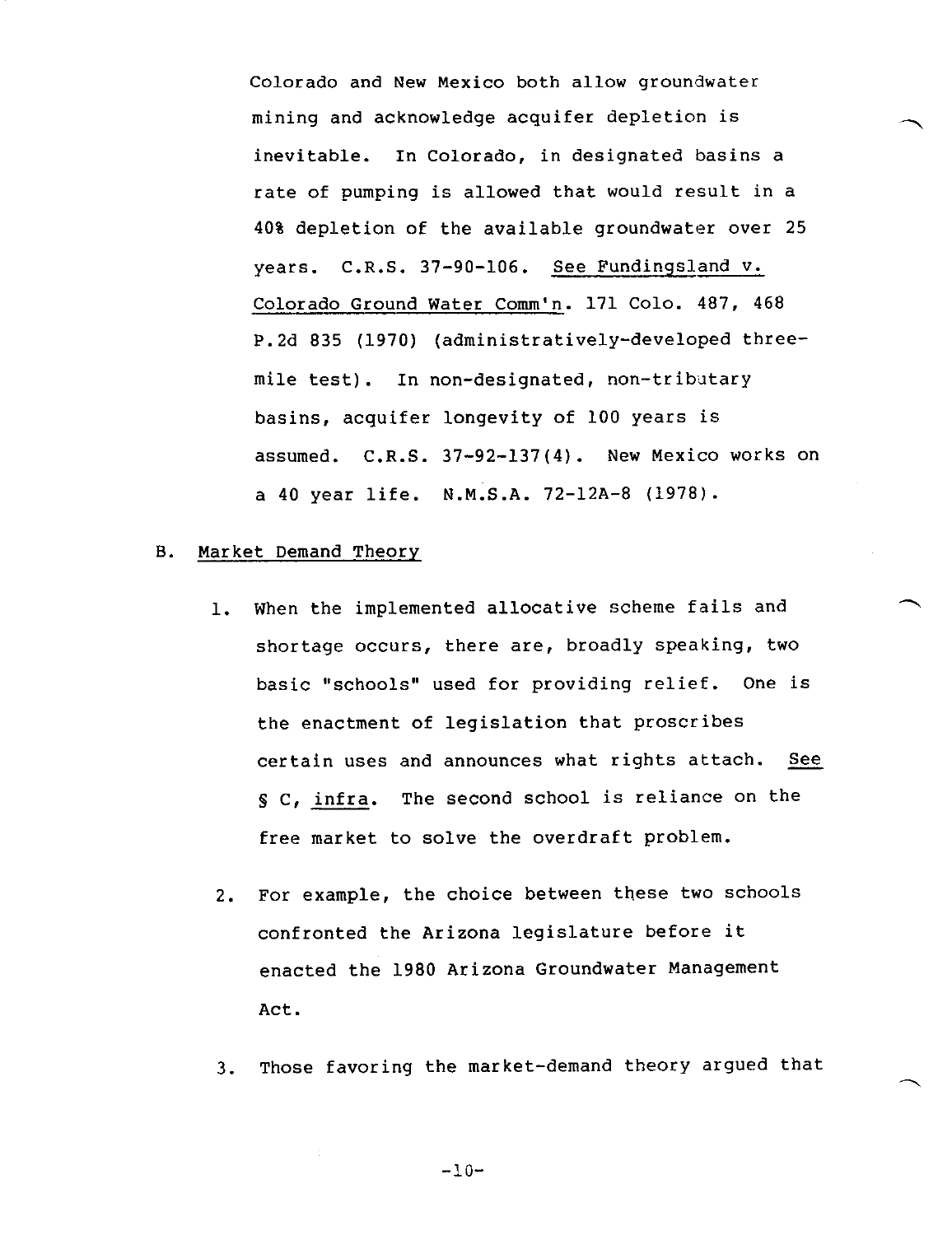Colorado and New Mexico both allow groundwater mining and acknowledge acquifer depletion is inevitable. In Colorado, in designated basins a rate of pumping is allowed that would result in a 40% depletion of the available groundwater over 25 years. C.R.S. 37-90-106. See Fundingsland v. Colorado Ground Water Comm'n. 171 Colo. 487, 468 P.2d 835 (1970) (administratively-developed threemile test). In non-designated, non-tributary basins, acquifer longevity of 100 years is assumed. C.R.S. 37-92-137(4). New Mexico works on a 40 year life. N.M.S.A. 72-12A-8 (1978).

#### B. Market Demand Theory

- 1. When the implemented allocative scheme fails and shortage occurs, there are, broadly speaking, two basic "schools" used for providing relief. One is the enactment of legislation that proscribes certain uses and announces what rights attach. See S C, infra. The second school is reliance on the free market to solve the overdraft problem.
- 2. For example, the choice between these two schools confronted the Arizona legislature before it enacted the 1980 Arizona Groundwater Management Act.
- 3. Those favoring the market-demand theory argued that

-10-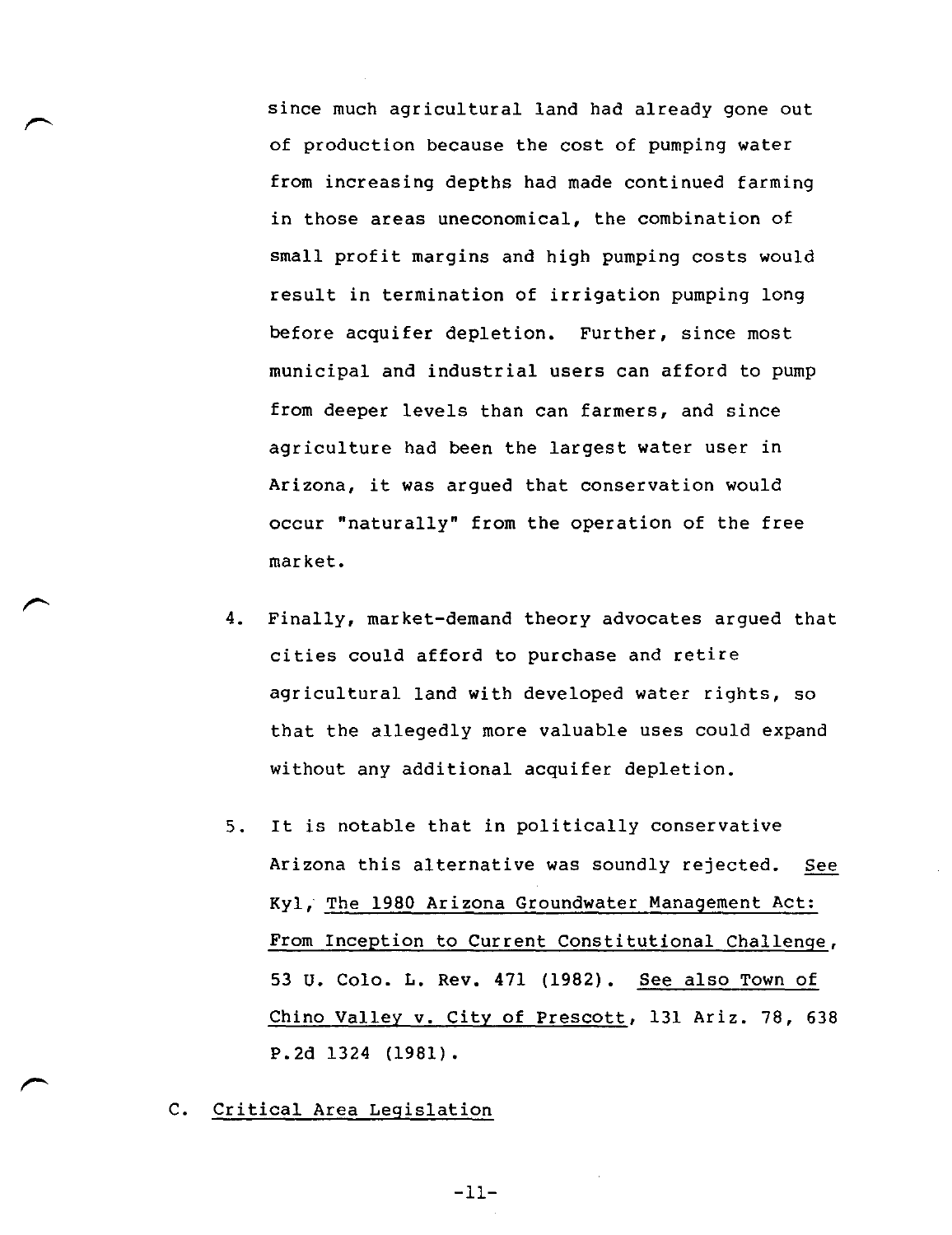since much agricultural land had already gone out of production because the cost of pumping water from increasing depths had made continued farming in those areas uneconomical, the combination of small profit margins and high pumping costs would result in termination of irrigation pumping long before acquifer depletion. Further, since most municipal and industrial users can afford to pump from deeper levels than can farmers, and since agriculture had been the largest water user in Arizona, it was argued that conservation would occur "naturally" from the operation of the free market.

- 4. Finally, market-demand theory advocates argued that cities could afford to purchase and retire agricultural land with developed water rights, so that the allegedly more valuable uses could expand without any additional acquifer depletion.
- 5. It is notable that in politically conservative Arizona this alternative was soundly rejected. See Kyl, The 1980 Arizona Groundwater Management Act: From Inception to Current Constitutional Challenge, 53 U. Colo. L. Rev. 471 (1982). See also Town of Chino Valley v. City of Prescott, 131 Ariz. 78, 638 P.2d 1324 (1981).
- C. Critical Area Legislation

 $-11-$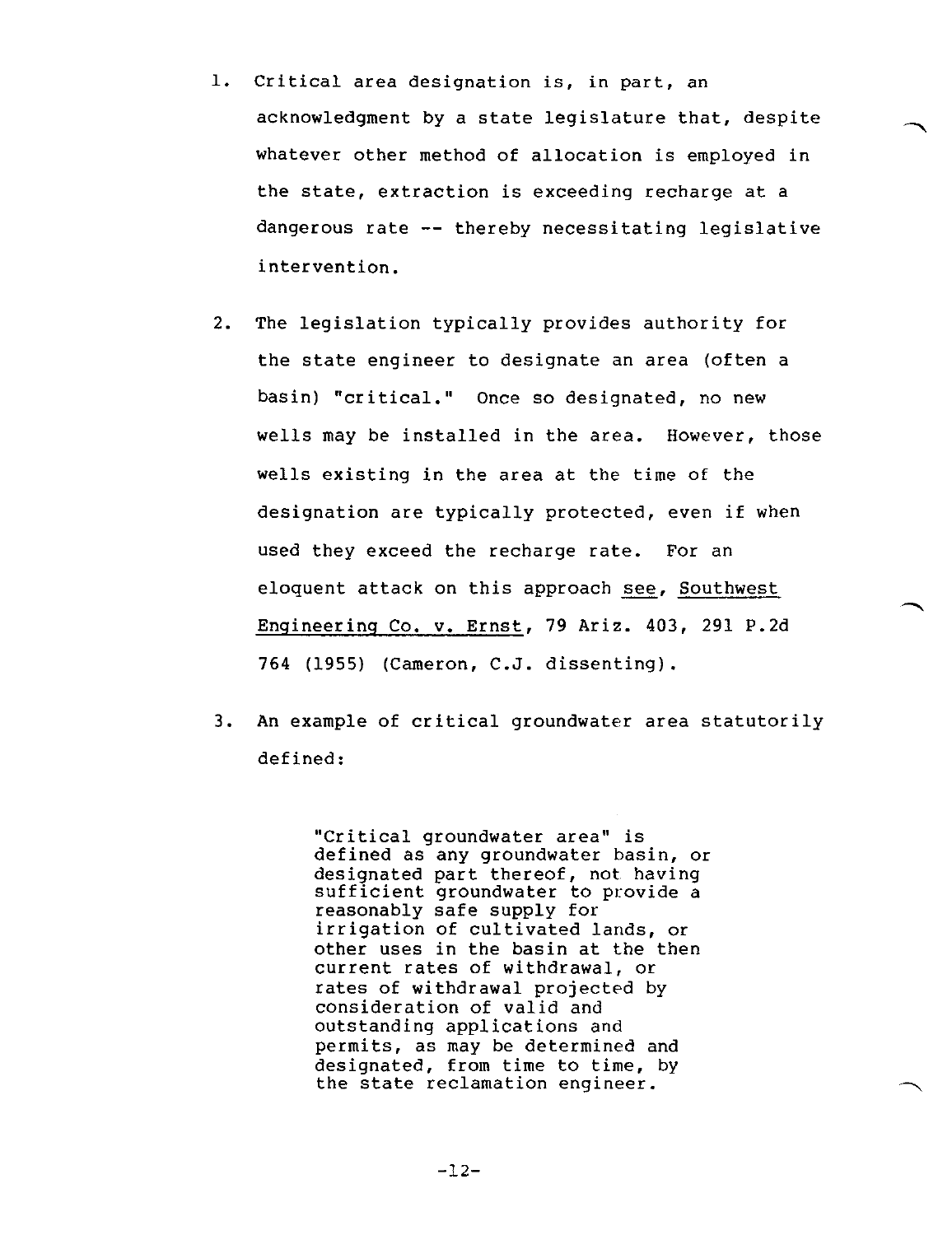- 1. Critical area designation is, in part, an acknowledgment by a state legislature that, despite whatever other method of allocation is employed in the state, extraction is exceeding recharge at a dangerous rate -- thereby necessitating legislative intervention.
- 2. The legislation typically provides authority for the state engineer to designate an area (often a basin) "critical." Once so designated, no new wells may be installed in the area. However, those wells existing in the area at the time of the designation are typically protected, even if when used they exceed the recharge rate. For an eloquent attack on this approach see, Southwest Engineering Co. v. Ernst, 79 Ariz. 403, 291 P.2d 764 (1955) (Cameron, C.J. dissenting).
- 3. An example of critical groundwater area statutorily defined:

"Critical groundwater area" is defined as any groundwater basin, or designated part thereof, not having sufficient groundwater to provide a reasonably safe supply for irrigation of cultivated lands, or other uses in the basin at the then current rates of withdrawal, or rates of withdrawal projected by consideration of valid and outstanding applications and permits, as may be determined and designated, from time to time, by the state reclamation engineer.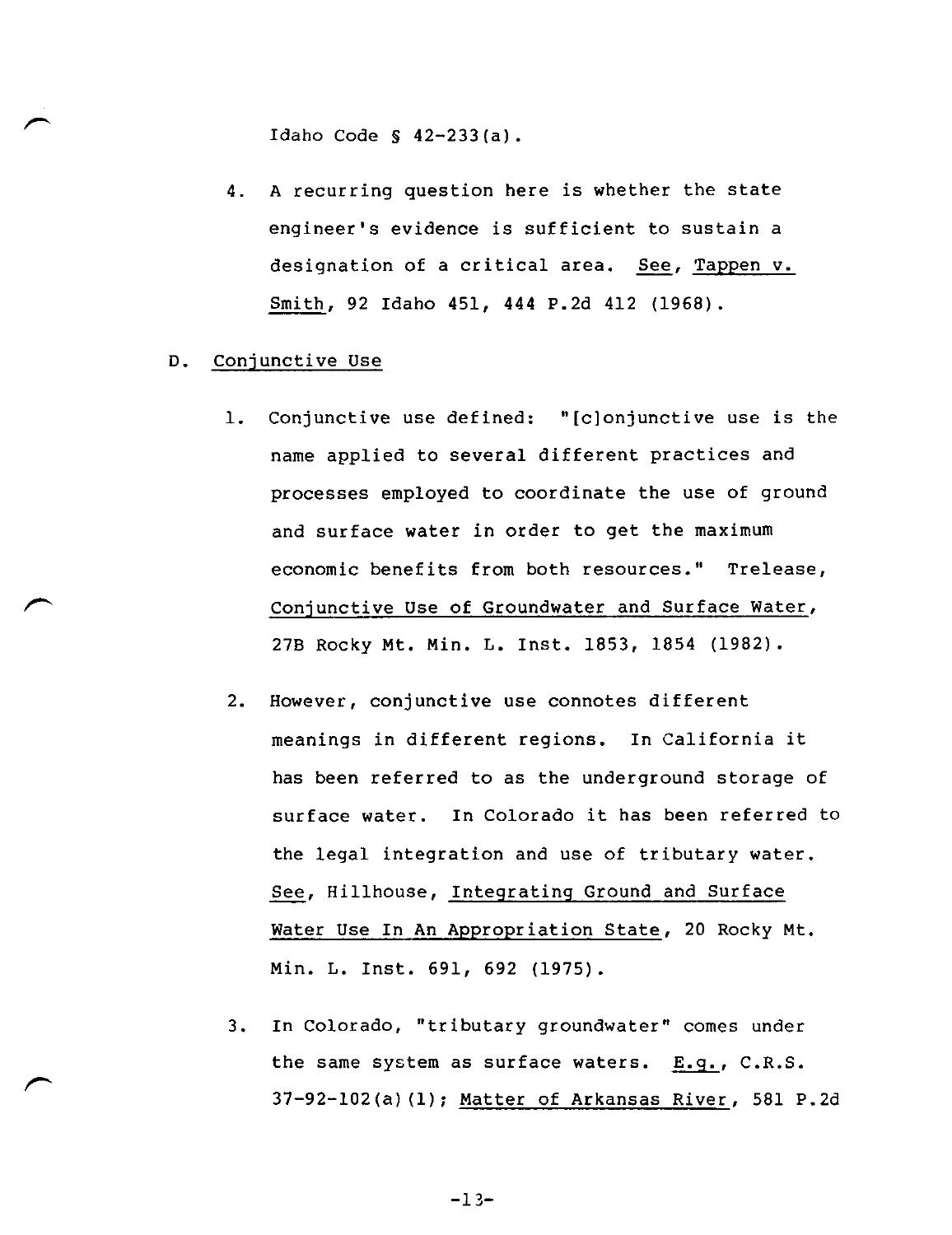Idaho Code S 42-233(a).

- 4. A recurring question here is whether the state engineer's evidence is sufficient to sustain a designation of a critical area. See, Tappen v. Smith, 92 Idaho 451, 444 P.2d 412 (1968).
- D. Conjunctive Use
	- 1. Conjunctive use defined: "[c]onjunctive use is the name applied to several different practices and processes employed to coordinate the use of ground and surface water in order to get the maximum economic benefits from both resources." Trelease, Conjunctive Use of Groundwater and Surface Water, 278 Rocky Mt. Min. L. Inst. 1853, 1854 (1982).
	- 2. However, conjunctive use connotes different meanings in different regions. In California it has been referred to as the underground storage of surface water. In Colorado it has been referred to the legal integration and use of tributary water. See, Hillhouse, Integrating Ground and Surface Water Use In An Appropriation State, 20 Rocky Mt. Min. L. Inst. 691, 692 (1975).
	- 3. In Colorado, "tributary groundwater" comes under the same system as surface waters. E.g., C.R.S. 37-92-102(a)(1); Matter of Arkansas River, 581 P.2d

-13-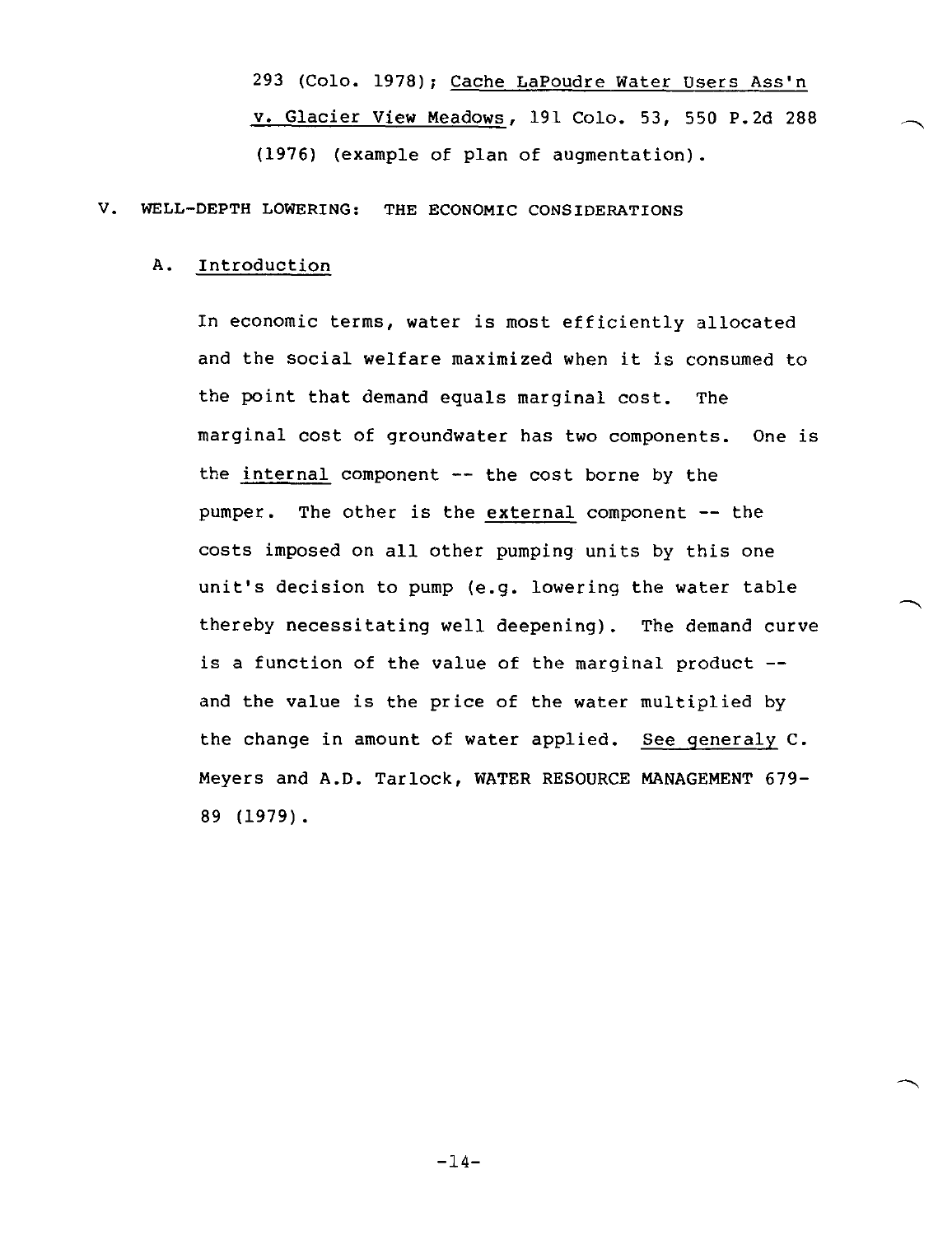293 (Colo. 1978); Cache LaPoudre Water Users Ass'n v. Glacier View Meadows, 191 Colo. 53, 550 P.2d 288 (1976) (example of plan of augmentation).

#### V. WELL-DEPTH LOWERING: THE ECONOMIC CONSIDERATIONS

#### A. Introduction

In economic terms, water is most efficiently allocated and the social welfare maximized when it is consumed to the point that demand equals marginal cost. The marginal cost of groundwater has two components. One is the internal component  $--$  the cost borne by the pumper. The other is the external component -- the costs imposed on all other pumping units by this one unit's decision to pump (e.g. lowering the water table thereby necessitating well deepening). The demand curve is a function of the value of the marginal product  $$ and the value is the price of the water multiplied by the change in amount of water applied. See generaly C. Meyers and A.D. Tarlock, WATER RESOURCE MANAGEMENT 679- 89 (1979).

-14-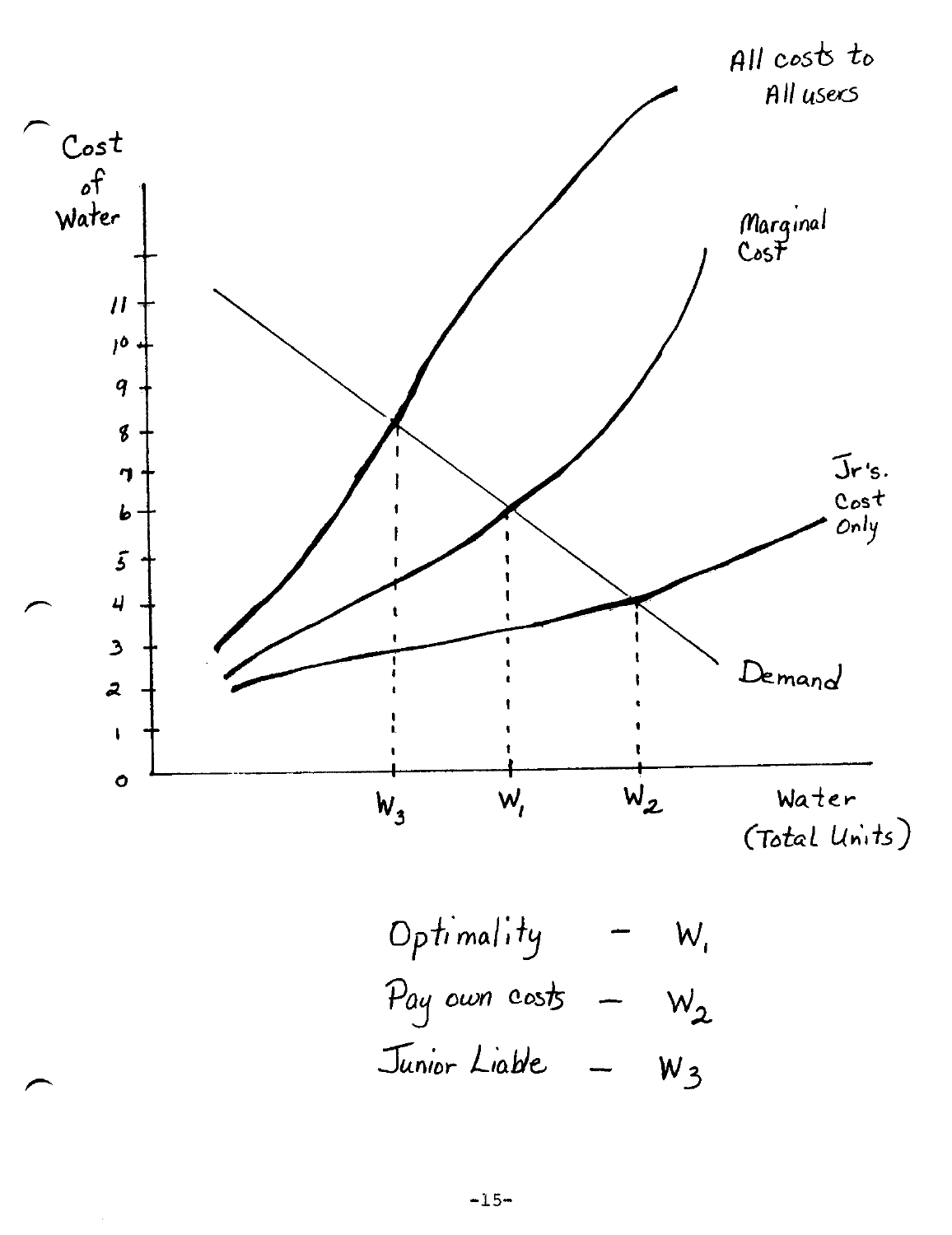

Optimality - 
$$
W_i
$$
  
\nPay own costs -  $W_2$   
\nJunior Like -  $W_3$ 

 $\overline{a}$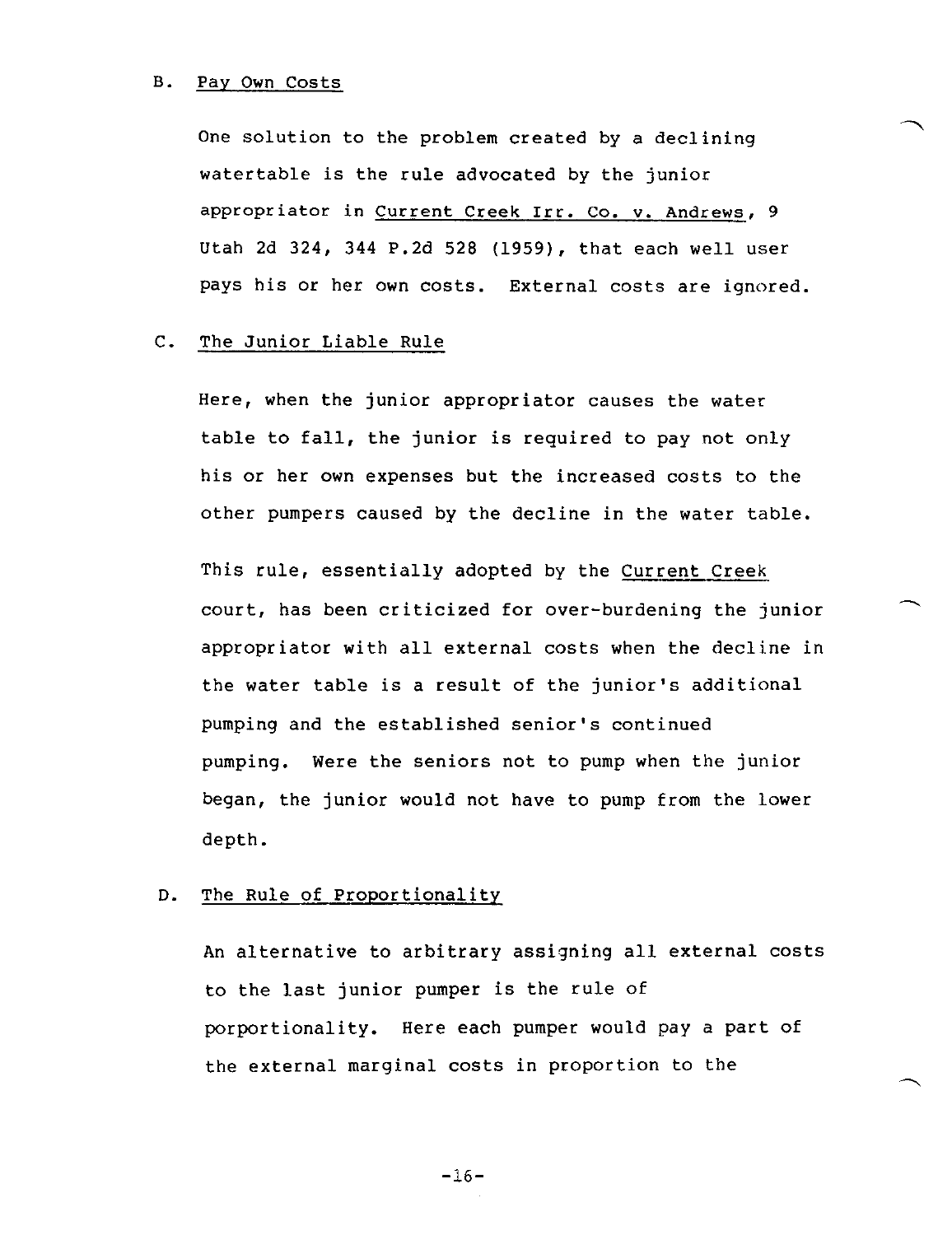#### B. Pay Own Costs

One solution to the problem created by a declining watertable is the rule advocated by the junior appropriator in Current Creek irr. co. v. Andrews, 9 Utah 2d 324, 344 P.2d 528 (1959), that each well user pays his or her own costs. External costs are ignored.

#### C. The Junior Liable Rule

Here, when the junior appropriator causes the water table to fall, the junior is required to pay not only his or her own expenses but the increased costs to the other pumpers caused by the decline in the water table.

This rule, essentially adopted by the Current Creek court, has been criticized for over-burdening the junior appropriator with all external costs when the decline in the water table is a result of the junior's additional pumping and the established senior's continued pumping. Were the seniors not to pump when the junior began, the junior would not have to pump from the lower depth.

#### D. The Rule of Proportionality

An alternative to arbitrary assigning all external costs to the last junior pumper is the rule of porportionality. Here each pumper would pay a part of the external marginal costs in proportion to the

-16-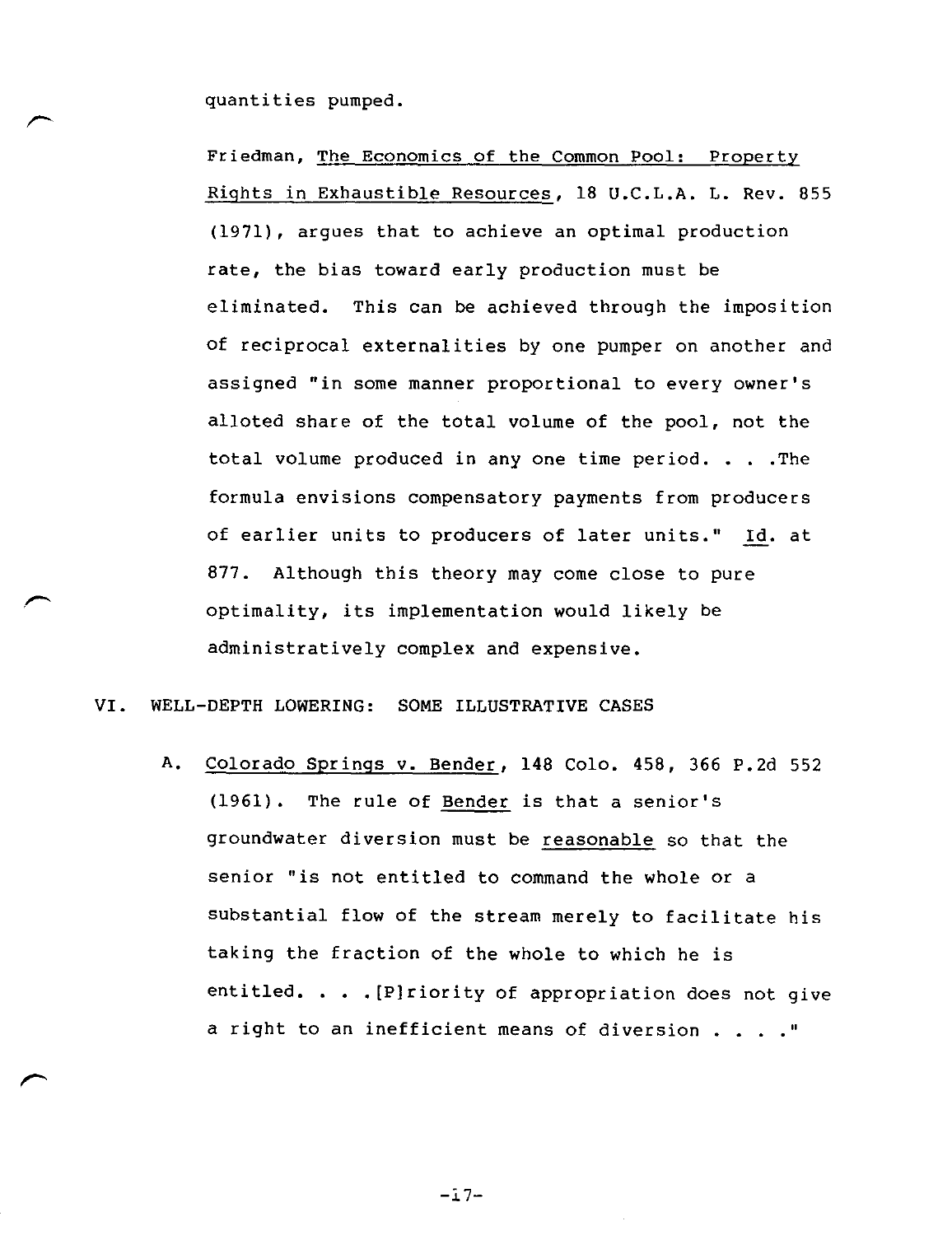quantities pumped.

Friedman, The Economics of the Common Pool: Property Rights in Exhaustible Resources, 18 U.C.L.A. L. Rev. 855 (1971), argues that to achieve an optimal production rate, the bias toward early production must be eliminated. This can be achieved through the imposition of reciprocal externalities by one pumper on another and assigned "in some manner proportional to every owner's alloted share of the total volume of the pool, not the total volume produced in any one time period. . . .The formula envisions compensatory payments from producers of earlier units to producers of later units." Id. at 877. Although this theory may come close to pure optimality, its implementation would likely be administratively complex and expensive.

VI. WELL-DEPTH LOWERING: SOME ILLUSTRATIVE CASES

A. Colorado Springs v. Bender, 148 Colo. 458, 366 P.2d 552 (1961). The rule of Bender is that a senior's groundwater diversion must be reasonable so that the senior "is not entitled to command the whole or a substantial flow of the stream merely to facilitate his taking the fraction of the whole to which he is entitled. . . .[P]riority of appropriation does not give a right to an inefficient means of diversion . . . . "

 $-17-$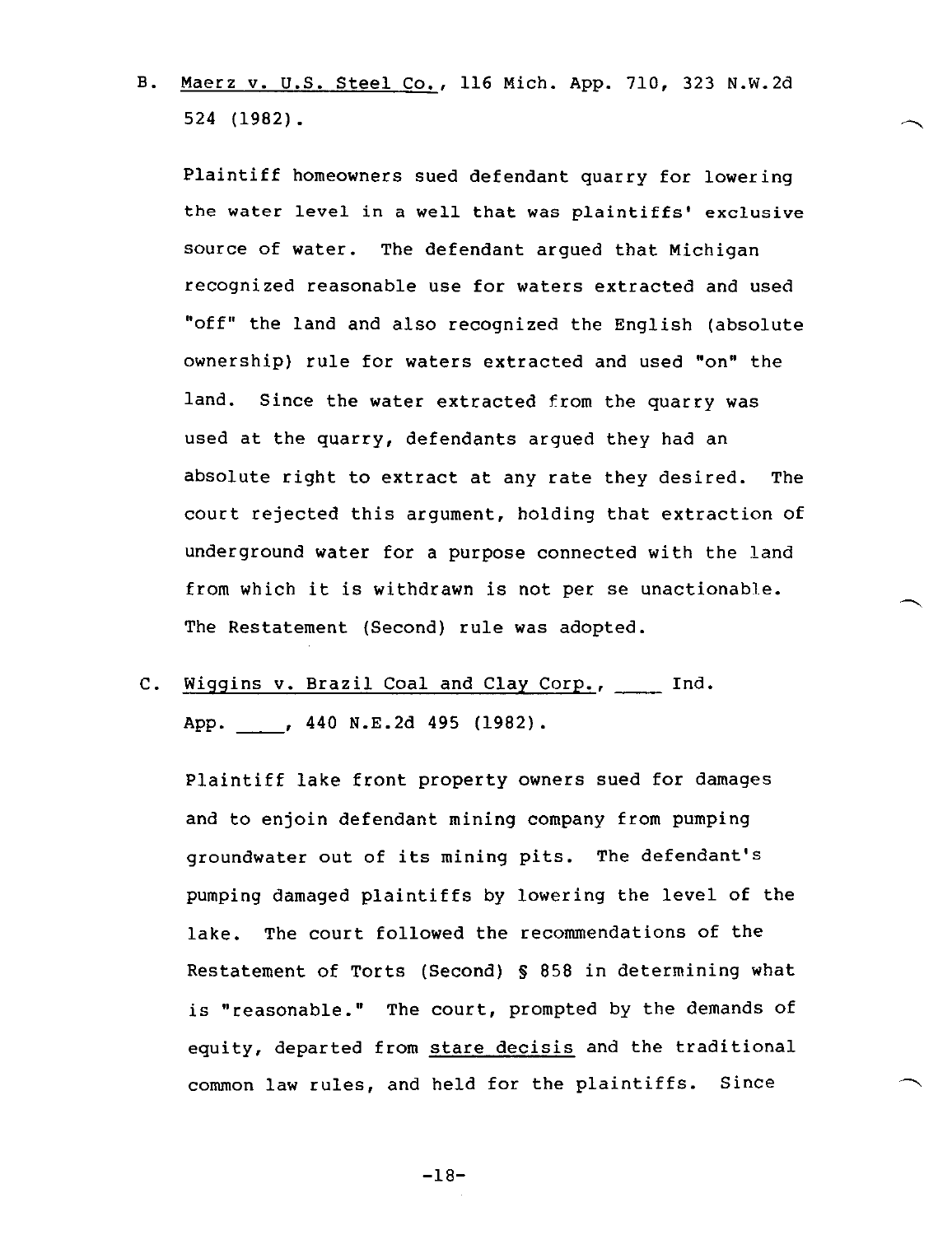B. Maerz v. U.S. Steel Co., 116 Mich. App. 710, 323 N.w.2d 524 (1982).

Plaintiff homeowners sued defendant quarry for lowering the water level in a well that was plaintiffs' exclusive source of water. The defendant argued that Michigan recognized reasonable use for waters extracted and used "off" the land and also recognized the English (absolute ownership) rule for waters extracted and used "on" the land. Since the water extracted from the quarry was used at the quarry, defendants argued they had an absolute right to extract at any rate they desired. The court rejected this argument, holding that extraction of underground water for a purpose connected with the land from which it is withdrawn is not per se unactionable. The Restatement (Second) rule was adopted.

C. Wiggins v. Brazil Coal and Clay Corp., \_\_\_\_ Ind. App. , 440 N.E. 2d 495 (1982).

Plaintiff lake front property owners sued for damages and to enjoin defendant mining company from pumping groundwater out of its mining pits. The defendant's pumping damaged plaintiffs by lowering the level of the lake. The court followed the recommendations of the Restatement of Torts (Second) § 858 in determining what is "reasonable." The court, prompted by the demands of equity, departed from stare decisis and the traditional common law rules, and held for the plaintiffs. Since

-18-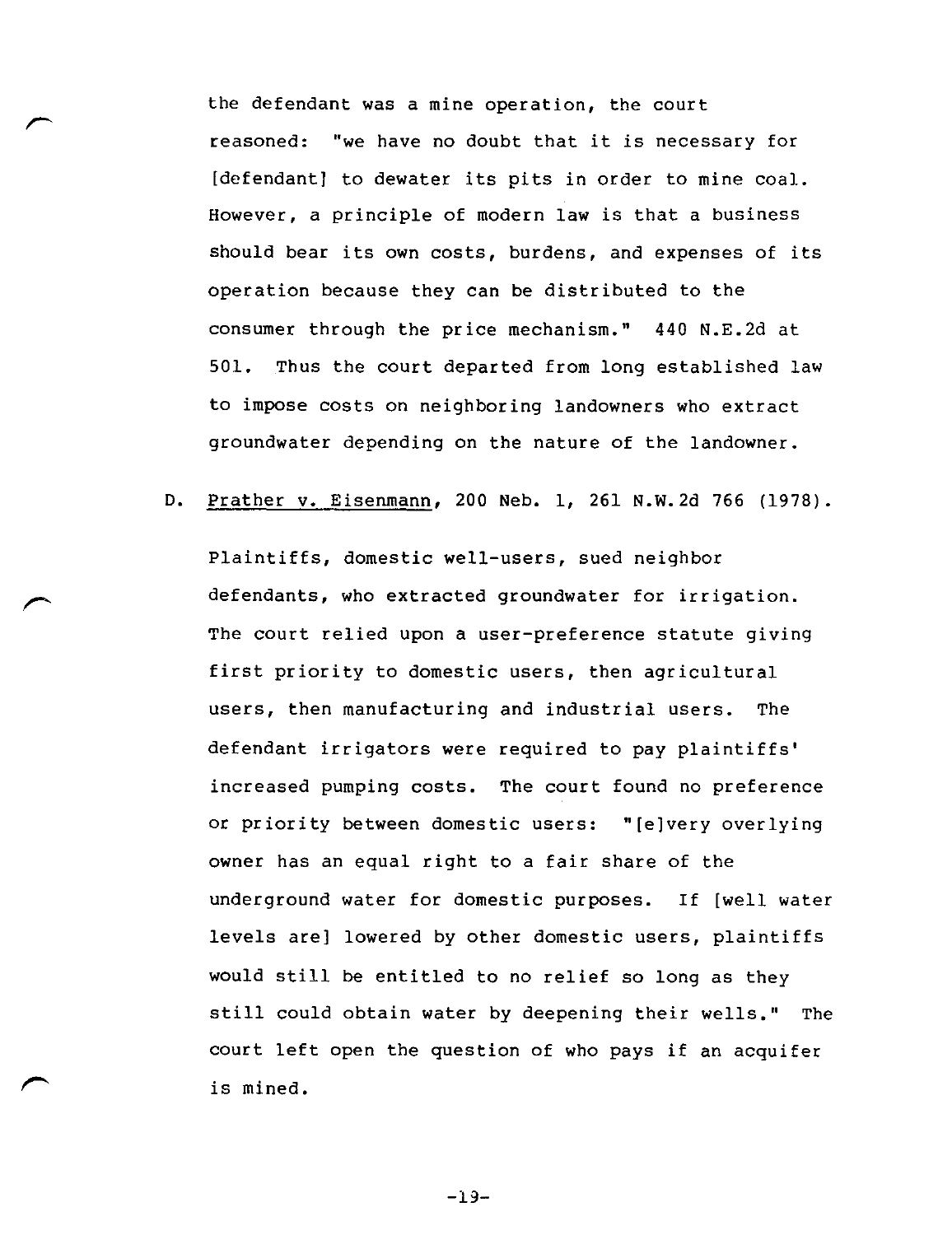the defendant was a mine operation, the court reasoned: "we have no doubt that it is necessary for [defendant] to dewater its pits in order to mine coal. However, a principle of modern law is that a business should bear its own costs, burdens, and expenses of its operation because they can be distributed to the consumer through the price mechanism." 440 N.E.2d at 501. Thus the court departed from long established law to impose costs on neighboring landowners who extract groundwater depending on the nature of the landowner.

D. Prather v. Eisenmann, 200 Neb. 1, 261 N.W.2d 766 (1978).

Plaintiffs, domestic well-users, sued neighbor defendants, who extracted groundwater for irrigation. The court relied upon a user-preference statute giving first priority to domestic users, then agricultural users, then manufacturing and industrial users. The defendant irrigators were required to pay plaintiffs' increased pumping costs. The court found no preference or priority between domestic users: "[e]very overlying owner has an equal right to a fair share of the underground water for domestic purposes. If [well water levels are] lowered by other domestic users, plaintiffs would still be entitled to no relief so long as they still could obtain water by deepening their wells." The court left open the question of who pays if an acquifer is mined.

-19-